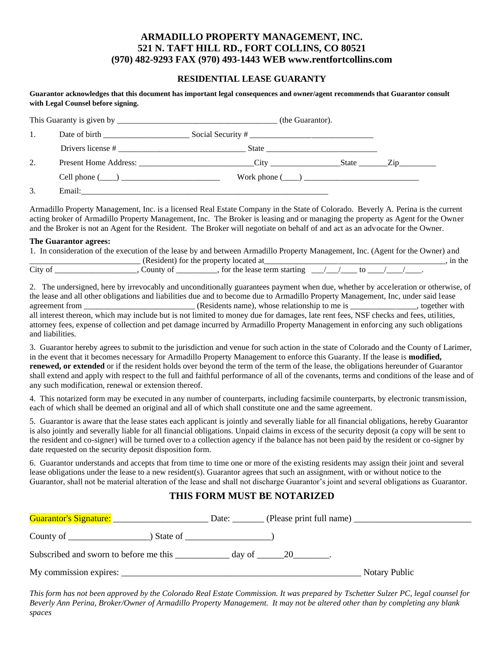## **ARMADILLO PROPERTY MANAGEMENT, INC. 521 N. TAFT HILL RD., FORT COLLINS, CO 80521 (970) 482-9293 FAX (970) 493-1443 WEB www.rentfortcollins.com**

### **RESIDENTIAL LEASE GUARANTY**

#### **Guarantor acknowledges that this document has important legal consequences and owner/agent recommends that Guarantor consult with Legal Counsel before signing.**

|    |  | (the Guarantor).                          |                                                                                                                                                                                                                                                                                                                                                                                                                                      |  |  |
|----|--|-------------------------------------------|--------------------------------------------------------------------------------------------------------------------------------------------------------------------------------------------------------------------------------------------------------------------------------------------------------------------------------------------------------------------------------------------------------------------------------------|--|--|
| 1. |  |                                           | Social Security # $\frac{1}{\frac{1}{2} \cdot \frac{1}{2} \cdot \frac{1}{2} \cdot \frac{1}{2} \cdot \frac{1}{2} \cdot \frac{1}{2} \cdot \frac{1}{2} \cdot \frac{1}{2} \cdot \frac{1}{2} \cdot \frac{1}{2} \cdot \frac{1}{2} \cdot \frac{1}{2} \cdot \frac{1}{2} \cdot \frac{1}{2} \cdot \frac{1}{2} \cdot \frac{1}{2} \cdot \frac{1}{2} \cdot \frac{1}{2} \cdot \frac{1}{2} \cdot \frac{1}{2} \cdot \frac{1}{2} \cdot \frac{1}{2} \$ |  |  |
|    |  | State                                     |                                                                                                                                                                                                                                                                                                                                                                                                                                      |  |  |
| 2. |  | Present Home Address: City City State Zip |                                                                                                                                                                                                                                                                                                                                                                                                                                      |  |  |
|    |  |                                           |                                                                                                                                                                                                                                                                                                                                                                                                                                      |  |  |
| 3. |  |                                           |                                                                                                                                                                                                                                                                                                                                                                                                                                      |  |  |

Armadillo Property Management, Inc. is a licensed Real Estate Company in the State of Colorado. Beverly A. Perina is the current acting broker of Armadillo Property Management, Inc. The Broker is leasing and or managing the property as Agent for the Owner and the Broker is not an Agent for the Resident. The Broker will negotiate on behalf of and act as an advocate for the Owner.

#### **The Guarantor agrees:**

|         |           | 1. In consideration of the execution of the lease by and between Armadillo Property Management, Inc. (Agent for the Owner) and |  |        |
|---------|-----------|--------------------------------------------------------------------------------------------------------------------------------|--|--------|
|         |           | (Resident) for the property located at                                                                                         |  | in the |
| City of | County of | $\frac{1}{\sqrt{1-\frac{1}{2}}}\$ , for the lease term starting $\frac{1}{\sqrt{1-\frac{1}{2}}}\$ to                           |  |        |

2. The undersigned, here by irrevocably and unconditionally guarantees payment when due, whether by acceleration or otherwise, of the lease and all other obligations and liabilities due and to become due to Armadillo Property Management, Inc, under said lease agreement from \_\_\_\_\_\_\_\_\_\_\_\_\_\_\_\_\_\_\_\_\_\_\_\_\_\_\_ (Residents name), whose relationship to me is \_\_\_\_\_\_\_\_\_\_\_\_\_\_\_\_, together with all interest thereon, which may include but is not limited to money due for damages, late rent fees, NSF checks and fees, utilities, attorney fees, expense of collection and pet damage incurred by Armadillo Property Management in enforcing any such obligations and liabilities.

3. Guarantor hereby agrees to submit to the jurisdiction and venue for such action in the state of Colorado and the County of Larimer, in the event that it becomes necessary for Armadillo Property Management to enforce this Guaranty. If the lease is **modified, renewed, or extended** or if the resident holds over beyond the term of the term of the lease, the obligations hereunder of Guarantor shall extend and apply with respect to the full and faithful performance of all of the covenants, terms and conditions of the lease and of any such modification, renewal or extension thereof.

4. This notarized form may be executed in any number of counterparts, including facsimile counterparts, by electronic transmission, each of which shall be deemed an original and all of which shall constitute one and the same agreement.

5. Guarantor is aware that the lease states each applicant is jointly and severally liable for all financial obligations, hereby Guarantor is also jointly and severally liable for all financial obligations. Unpaid claims in excess of the security deposit (a copy will be sent to the resident and co-signer) will be turned over to a collection agency if the balance has not been paid by the resident or co-signer by date requested on the security deposit disposition form.

6. Guarantor understands and accepts that from time to time one or more of the existing residents may assign their joint and several lease obligations under the lease to a new resident(s). Guarantor agrees that such an assignment, with or without notice to the Guarantor, shall not be material alteration of the lease and shall not discharge Guarantor's joint and several obligations as Guarantor.

## **THIS FORM MUST BE NOTARIZED**

| Guarantor's Signature: ________________ | Date:    | (Please print full name) |               |
|-----------------------------------------|----------|--------------------------|---------------|
| County of $\qquad \qquad$               | State of |                          |               |
| Subscribed and sworn to before me this  |          | $\alpha$ day of 20       |               |
| My commission expires:                  |          |                          | Notary Public |

*This form has not been approved by the Colorado Real Estate Commission. It was prepared by Tschetter Sulzer PC, legal counsel for Beverly Ann Perina, Broker/Owner of Armadillo Property Management. It may not be altered other than by completing any blank spaces*